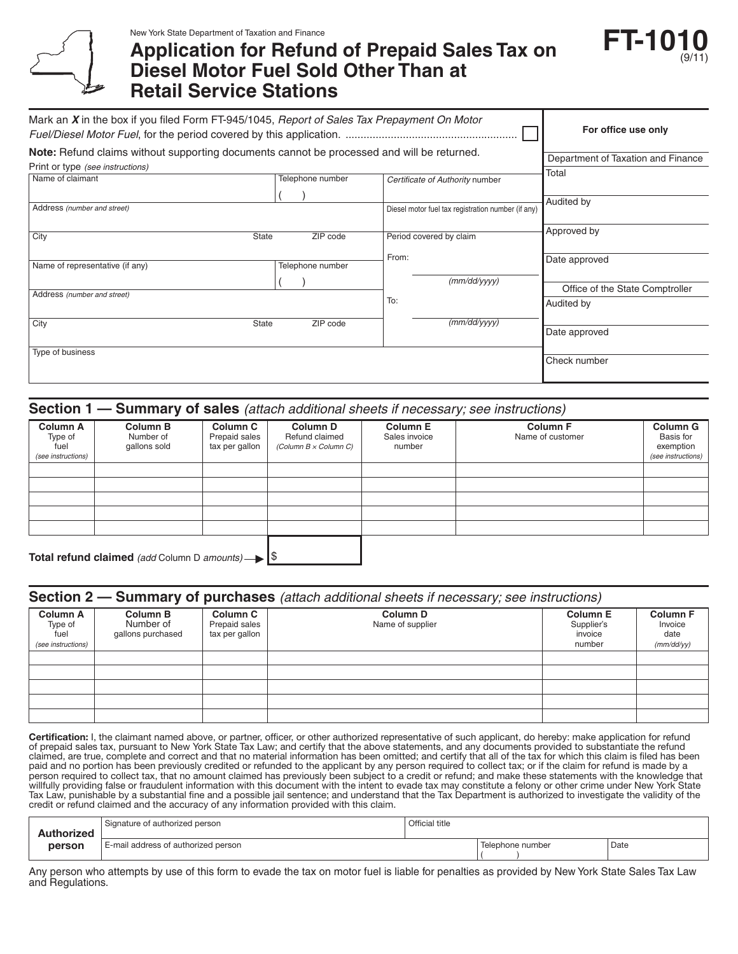

New York State Department of Taxation and Finance

# **Application for Refund of Prepaid Sales Tax on Diesel Motor Fuel Sold Other Than at Retail Service Stations**



| Mark an X in the box if you filed Form FT-945/1045, Report of Sales Tax Prepayment On Motor |                                    |                                                    |                                 |
|---------------------------------------------------------------------------------------------|------------------------------------|----------------------------------------------------|---------------------------------|
|                                                                                             | For office use only                |                                                    |                                 |
| Note: Refund claims without supporting documents cannot be processed and will be returned.  | Department of Taxation and Finance |                                                    |                                 |
| Print or type (see instructions)                                                            |                                    |                                                    | Total                           |
| Name of claimant                                                                            | Telephone number                   | Certificate of Authority number                    |                                 |
|                                                                                             |                                    |                                                    |                                 |
| Address (number and street)                                                                 |                                    | Diesel motor fuel tax registration number (if any) | Audited by                      |
| City                                                                                        | ZIP code<br>State                  | Period covered by claim                            | Approved by                     |
|                                                                                             |                                    | From:                                              |                                 |
| Name of representative (if any)                                                             | Telephone number                   |                                                    | Date approved                   |
|                                                                                             |                                    | (mm/dd/yyyy)                                       |                                 |
| Address (number and street)                                                                 |                                    |                                                    | Office of the State Comptroller |
|                                                                                             |                                    | To:                                                | Audited by                      |
| City                                                                                        | State<br>ZIP code                  | (mm/dd/yyyy)                                       |                                 |
|                                                                                             |                                    |                                                    | Date approved                   |
| Type of business                                                                            |                                    |                                                    |                                 |
|                                                                                             |                                    |                                                    | Check number                    |
|                                                                                             |                                    |                                                    |                                 |

# **Section 1 — Summary of sales** *(attach additional sheets if necessary; see instructions)*

| <b>Column A</b><br>Type of<br>fuel<br>(see instructions) | <b>Column B</b><br>Number of<br>gallons sold | <b>Column C</b><br>Prepaid sales<br>tax per gallon | <b>Column D</b><br>Refund claimed<br>(Column B x Column C) | <b>Column E</b><br>Sales invoice<br>number | <b>Column F</b><br>Name of customer | <b>Column G</b><br>Basis for<br>exemption<br>(see instructions) |
|----------------------------------------------------------|----------------------------------------------|----------------------------------------------------|------------------------------------------------------------|--------------------------------------------|-------------------------------------|-----------------------------------------------------------------|
|                                                          |                                              |                                                    |                                                            |                                            |                                     |                                                                 |
|                                                          |                                              |                                                    |                                                            |                                            |                                     |                                                                 |
|                                                          |                                              |                                                    |                                                            |                                            |                                     |                                                                 |
|                                                          |                                              |                                                    |                                                            |                                            |                                     |                                                                 |
|                                                          |                                              |                                                    |                                                            |                                            |                                     |                                                                 |
|                                                          | _ _ _ _ _ _ _ _ _                            |                                                    | $\overline{a}$                                             |                                            |                                     |                                                                 |

Total refund claimed (add Column D amounts)  $\rightarrow$  |<sup>\$</sup>

| <b>Section 2 – Summary of purchases</b> (attach additional sheets if necessary; see instructions) |                                            |                                                    |                                         |                                                    |                                                  |
|---------------------------------------------------------------------------------------------------|--------------------------------------------|----------------------------------------------------|-----------------------------------------|----------------------------------------------------|--------------------------------------------------|
| <b>Column A</b><br>Type of<br>fuel<br>(see instructions)                                          | Column B<br>Number of<br>gallons purchased | <b>Column C</b><br>Prepaid sales<br>tax per gallon | Column <sub>D</sub><br>Name of supplier | <b>Column E</b><br>Supplier's<br>invoice<br>number | <b>Column F</b><br>Invoice<br>date<br>(mm/dd/yy) |
|                                                                                                   |                                            |                                                    |                                         |                                                    |                                                  |
|                                                                                                   |                                            |                                                    |                                         |                                                    |                                                  |
|                                                                                                   |                                            |                                                    |                                         |                                                    |                                                  |
|                                                                                                   |                                            |                                                    |                                         |                                                    |                                                  |
|                                                                                                   |                                            |                                                    |                                         |                                                    |                                                  |

Certification: I, the claimant named above, or partner, officer, or other authorized representative of such applicant, do hereby: make application for refund of prepaid sales tax, pursuant to New York State Tax Law; and certify that the above statements, and any documents provided to substantiate the refund claimed, are true, complete and correct and that no material information has been omitted; and certify that all of the tax for which this claim is filed has been paid and no portion has been previously credited or refunded to the applicant by any person required to collect tax; or if the claim for refund is made by a person required to collect tax, that no amount claimed has previously been subject to a credit or refund; and make these statements with the knowledge that willfully providing false or fraudulent information with this document with the intent to evade tax may constitute a felony or other crime under New York State Tax Law, punishable by a substantial fine and a possible jail sentence; and understand that the Tax Department is authorized to investigate the validity of the credit or refund claimed and the accuracy of any information provided with this claim.

| <b>Authorized</b> | Signature of authorized person      | Official title |                  |      |
|-------------------|-------------------------------------|----------------|------------------|------|
| person            | E-mail address of authorized person |                | Telephone number | Date |

Any person who attempts by use of this form to evade the tax on motor fuel is liable for penalties as provided by New York State Sales Tax Law and Regulations.